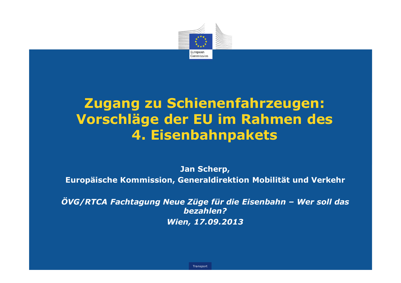

# Zugang zu Schienenfahrzeugen: Vorschläge der EU im Rahmen des 4. Eisenbahnpakets

Jan Scherp,

Europäische Kommission, Generaldirektion Mobilität und Verkehr

ÖVG/RTCA Fachtagung Neue Züge für die Eisenbahn – Wer soll das bezahlen?Wien, 17.09.2013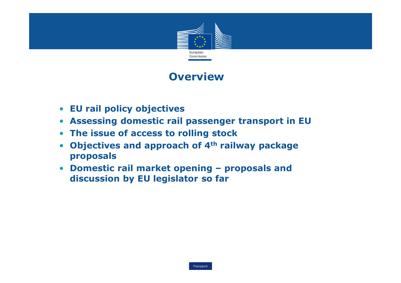

### **Overview**

- EU rail policy objectives
- Assessing domestic rail passenger transport in EU
- The issue of access to rolling stock
- Objectives and approach of  $4<sup>th</sup>$  railway package proposals
- Domestic rail market opening proposals and<br>discussion by FII legislator so far discussion by EU legislator so far

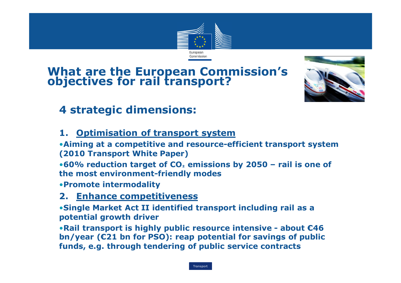

# What are the European Commission's objectives for rail transport?



### 4 strategic dimensions:

#### 1. Optimisation of transport system

 •Aiming at a competitive and resource-efficient transport system (2010 Transport White Paper)

 $\bullet$ 60% reduction target of CO $_2$  emissions by 2050 – rail is one of the most environment-friendly modes the most environment-friendly modes

•Promote intermodality

# 2. Enhance competitiveness<br>•Single Market Act II identified t

•Single Market Act II identified transport including rail as a potential growth driver

•Rail transport is highly public resource intensive - about €46 bn/year (€21 bn for PSO): reap potential for savings of public funds, e.g. through tendering of public service contracts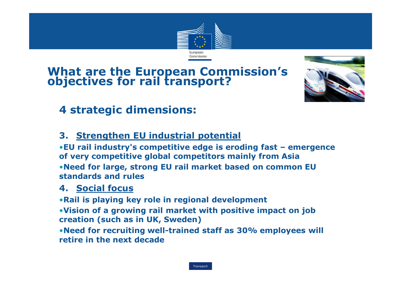

# What are the European Commission's objectives for rail transport?



### 4 strategic dimensions:

### 3. Strengthen EU industrial potential

•EU rail industry's competitive edge is eroding fast – emergence of very competitive global competitors mainly from Asia •Need for large, strong EU rail market based on common EU standards and rules

#### 4. Social focus

•Rail is playing key role in regional development

•Vision of a growing rail market with positive impact on job creation (such as in UK, Sweden)

•Need for recruiting well-trained staff as 30% employees will retire in the next decade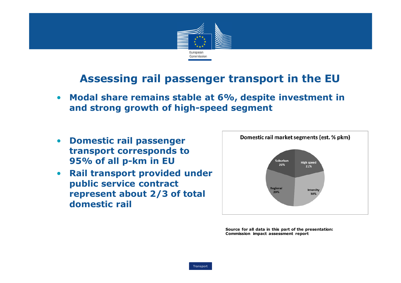

### Assessing rail passenger transport in the EU

- • Modal share remains stable at 6%, despite investment in and strong growth of high-speed segment
- $\bullet$  Domestic rail passenger transport corresponds to 95% of all p-km in EU
- Rail transport provided under  $\bullet$ public service contract represent about 2/3 of total domestic rail



Source for all data in this part of the presentation: Commission impact assessment report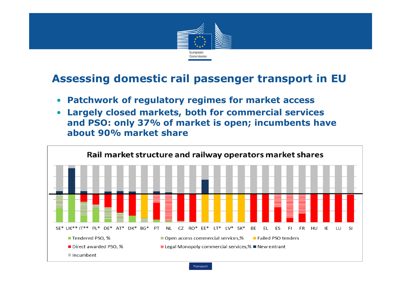

- Patchwork of regulatory regimes for market access
- Largely closed markets, both for commercial services  $\bullet$ and PSO: only 37% of market is open; incumbents have about 90% market share

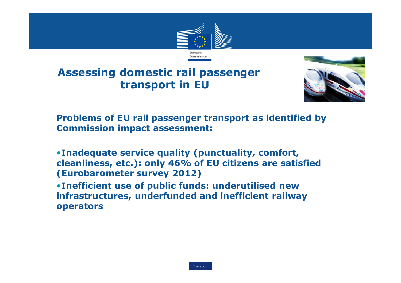



Problems of EU rail passenger transport as identified by Commission impact assessment:

•Inadequate service quality (punctuality, comfort, cleanliness, etc.): only 46% of EU citizens are satisfied (Eurobarometer survey 2012)

 •Inefficient use of public funds: underutilised new infrastructures, underfunded and inefficient railway operators

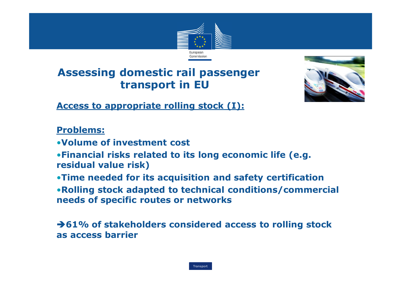



Access to appropriate rolling stock (I):

Problems:

- •Volume of investment cost
- •Financial risks related to its long economic life (e.g. residual value risk)
- •Time needed for its acquisition and safety certification
- •Rolling stock adapted to technical conditions/commercial needs of specific routes or networks

→61% of stakeholders considered access to rolling stock as access barrier

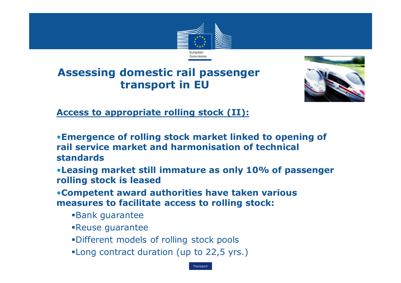



Access to appropriate rolling stock (II):

•Emergence of rolling stock market linked to opening of rail service market and harmonisation of technical standards

•Leasing market still immature as only 10% of passenger rolling stock is leased

 •Competent award authorities have taken various measures to facilitate access to rolling stock:

- -Bank guarantee
- -Reuse guarantee
- -Different models of rolling stock pools
- -Long contract duration (up to 22,5 yrs.)

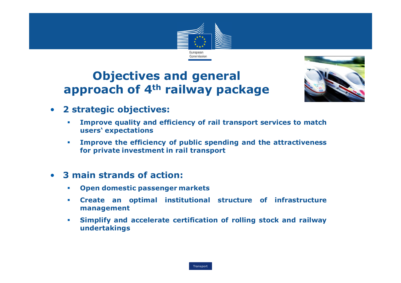

### Objectives and general approach of 4<sup>th</sup> railway package



- $\bullet$  <sup>2</sup> strategic objectives:
	- - Improve quality and efficiency of rail transport services to match users' expectations
	- - Improve the efficiency of public spending and the attractiveness for private investment in rail transport
- <sup>3</sup> main strands of action:
	- -Open domestic passenger markets
	- - Create an optimal institutional structure of infrastructure management
	- - Simplify and accelerate certification of rolling stock and railway undertakings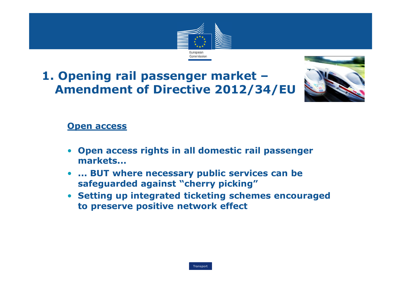

# 1. Opening rail passenger market –Amendment of Directive 2012/34/EU



#### **Open access**

- Open access rights in all domestic rail passenger markets...
- $\bullet$  ... BUT where necessary public services can be safeguarded against "cherry picking"
- Setting up integrated ticketing schemes encouraged to preserve positive network effect

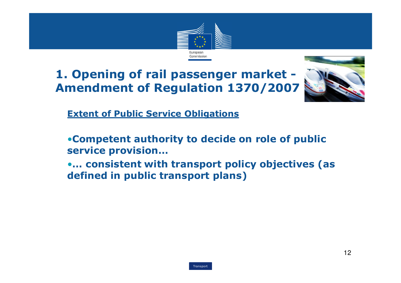



Extent of Public Service Obligations

•Competent authority to decide on role of public service provision…

 •… consistent with transport policy objectives (as defined in public transport plans)

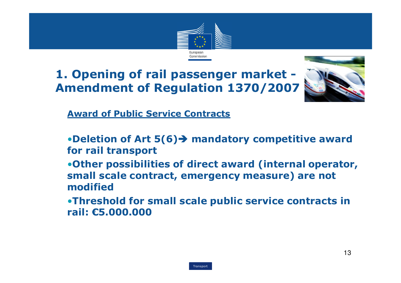



Award of Public Service Contracts

- •Deletion of Art 5(6)→ mandatory competitive award<br>for rail transport for rail transport
- •Other possibilities of direct award (internal operator, small scale contract, emergency measure) are not modified
- •Threshold for small scale public service contracts in rail: €5.000.000

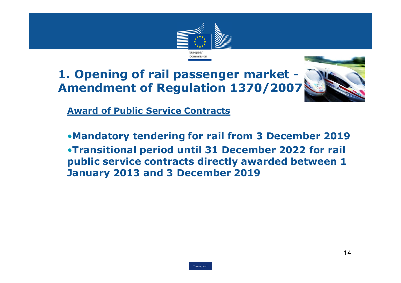



Award of Public Service Contracts

•Mandatory tendering for rail from 3 December 2019 •Transitional period until 31 December 2022 for rail public service contracts directly awarded between 1January 2013 and 3 December 2019

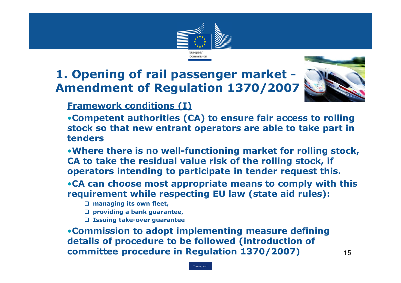



Framework conditions (I)

 •Competent authorities (CA) to ensure fair access to rolling stock so that new entrant operators are able to take part in tenders

•Where there is no well-functioning market for rolling stock, CA to take the residual value risk of the rolling stock, if operators intending to participate in tender request this.

•CA can choose most appropriate means to comply with this requirement while respecting EU law (state aid rules):

- **Q** managing its own fleet,
- **Q** providing a bank guarantee,
- $\square$  Issuing take-over guarantee

•Commission to adopt implementing measure defining details of procedure to be followed (introduction of committee procedure in Regulation 1370/2007) $\sqrt{15}$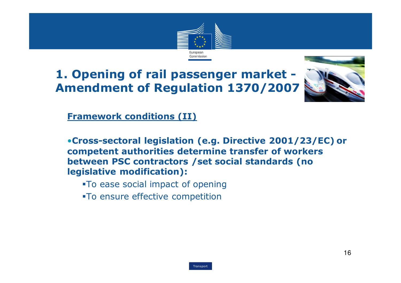



Framework conditions (II)

•Cross-sectoral legislation (e.g. Directive 2001/23/EC) or competent authorities determine transfer of workersbetween PSC contractors / set social standards (no legislative modification):

- -To ease social impact of opening
- -To ensure effective competition

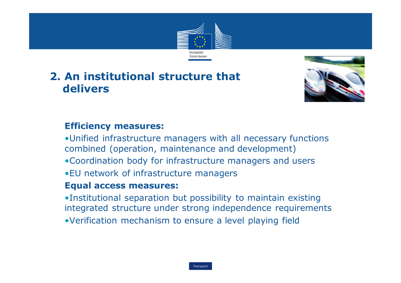

### 2. An institutional structure that delivers



#### Efficiency measures:

•Unified infrastructure managers with all necessary functions combined (operation, maintenance and development)

- •Coordination body for infrastructure managers and users
- •EU network of infrastructure managers

#### Equal access measures:

•Institutional separation but possibility to maintain existing integrated structure under strong independence requirements•Verification mechanism to ensure a level playing field

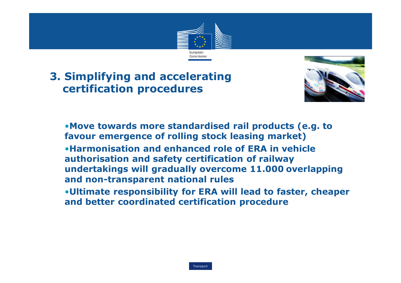

### 3. Simplifying and accelerating certification procedures



•Move towards more standardised rail products (e.g. to favour emergence of rolling stock leasing market) •Harmonisation and enhanced role of ERA in vehicle authorisation and safety certification of railway undertakings will gradually overcome 11.000 overlapping and non-transparent national rules •Ultimate responsibility for ERA will lead to faster, cheaper and better coordinated certification procedure

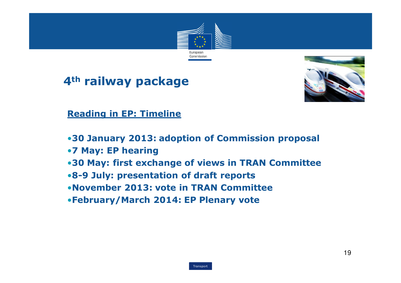





Reading in EP: Timeline

- •30 January 2013: adoption of Commission proposal
- •7 May: EP hearing
- •30 May: first exchange of views in TRAN Committee
- •8-9 July: presentation of draft reports
- •November 2013: vote in TRAN Committee
- •February/March 2014: EP Plenary vote

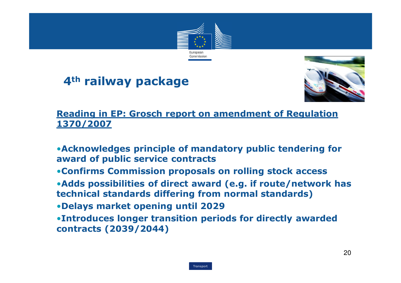

# 4<sup>th</sup> railway package



#### Reading in EP: Grosch report on amendment of Regulation 1370/2007

- •Acknowledges principle of mandatory public tendering for award of public service contracts
- •Confirms Commission proposals on rolling stock access
- •Adds possibilities of direct award (e.g. if route/network has technical standards differing from normal standards)
- •Delays market opening until 2029
- •Introduces longer transition periods for directly awarded contracts (2039/2044)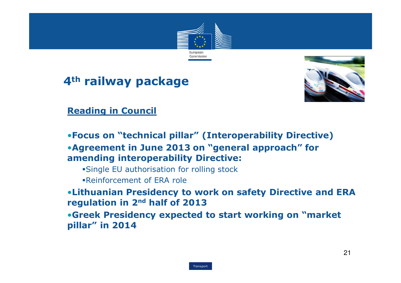

### 4<sup>th</sup> railway package



Reading in Council

•Focus on "technical pillar" (Interoperability Directive)

•Agreement in June 2013 on "general approach" for amending interoperability Directive:

-Single EU authorisation for rolling stock

-Reinforcement of ERA role

 •Lithuanian Presidency to work on safety Directive and ERA regulation in 2nd half of 2013

 •Greek Presidency expected to start working on "market pillar" in 2014